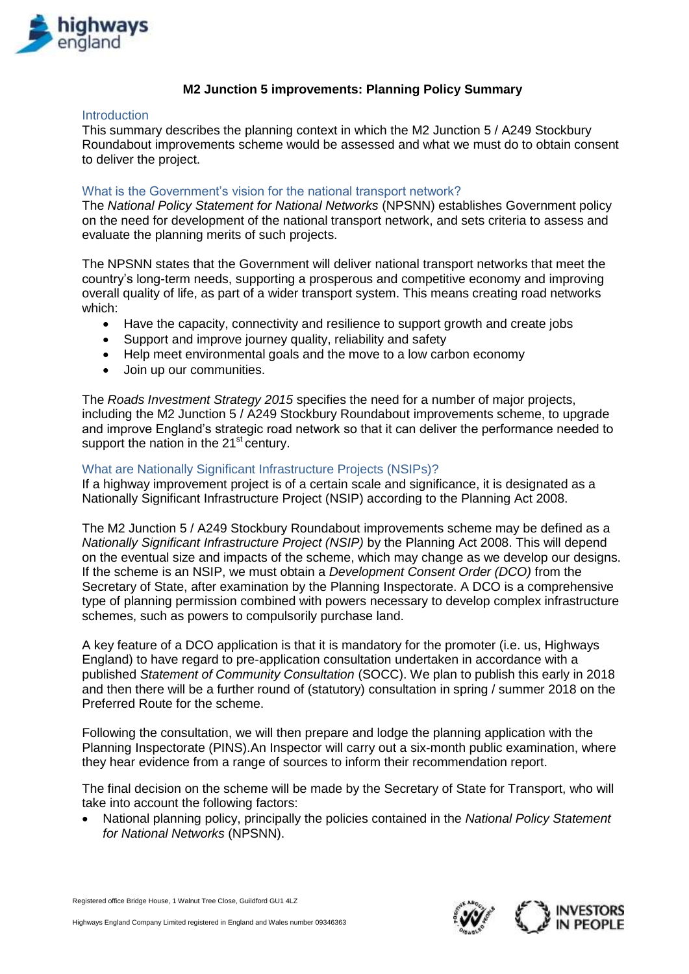

# **M2 Junction 5 improvements: Planning Policy Summary**

### Introduction

This summary describes the planning context in which the M2 Junction 5 / A249 Stockbury Roundabout improvements scheme would be assessed and what we must do to obtain consent to deliver the project.

### What is the Government's vision for the national transport network?

The *National Policy Statement for National Networks* (NPSNN) establishes Government policy on the need for development of the national transport network, and sets criteria to assess and evaluate the planning merits of such projects.

The NPSNN states that the Government will deliver national transport networks that meet the country's long-term needs, supporting a prosperous and competitive economy and improving overall quality of life, as part of a wider transport system. This means creating road networks which:

- Have the capacity, connectivity and resilience to support growth and create jobs
- Support and improve journey quality, reliability and safety
- Help meet environmental goals and the move to a low carbon economy
- Join up our communities.

The *Roads Investment Strategy 2015* specifies the need for a number of major projects, including the M2 Junction 5 / A249 Stockbury Roundabout improvements scheme, to upgrade and improve England's strategic road network so that it can deliver the performance needed to support the nation in the 21<sup>st</sup> century.

## What are Nationally Significant Infrastructure Projects (NSIPs)?

If a highway improvement project is of a certain scale and significance, it is designated as a Nationally Significant Infrastructure Project (NSIP) according to the Planning Act 2008.

The M2 Junction 5 / A249 Stockbury Roundabout improvements scheme may be defined as a *Nationally Significant Infrastructure Project (NSIP)* by the Planning Act 2008. This will depend on the eventual size and impacts of the scheme, which may change as we develop our designs. If the scheme is an NSIP, we must obtain a *Development Consent Order (DCO)* from the Secretary of State, after examination by the Planning Inspectorate. A DCO is a comprehensive type of planning permission combined with powers necessary to develop complex infrastructure schemes, such as powers to compulsorily purchase land.

A key feature of a DCO application is that it is mandatory for the promoter (i.e. us, Highways England) to have regard to pre-application consultation undertaken in accordance with a published *Statement of Community Consultation* (SOCC). We plan to publish this early in 2018 and then there will be a further round of (statutory) consultation in spring / summer 2018 on the Preferred Route for the scheme.

Following the consultation, we will then prepare and lodge the planning application with the Planning Inspectorate (PINS).An Inspector will carry out a six-month public examination, where they hear evidence from a range of sources to inform their recommendation report.

The final decision on the scheme will be made by the Secretary of State for Transport, who will take into account the following factors:

 National planning policy, principally the policies contained in the *National Policy Statement for National Networks* (NPSNN).

Registered office Bridge House, 1 Walnut Tree Close, Guildford GU1 4LZ